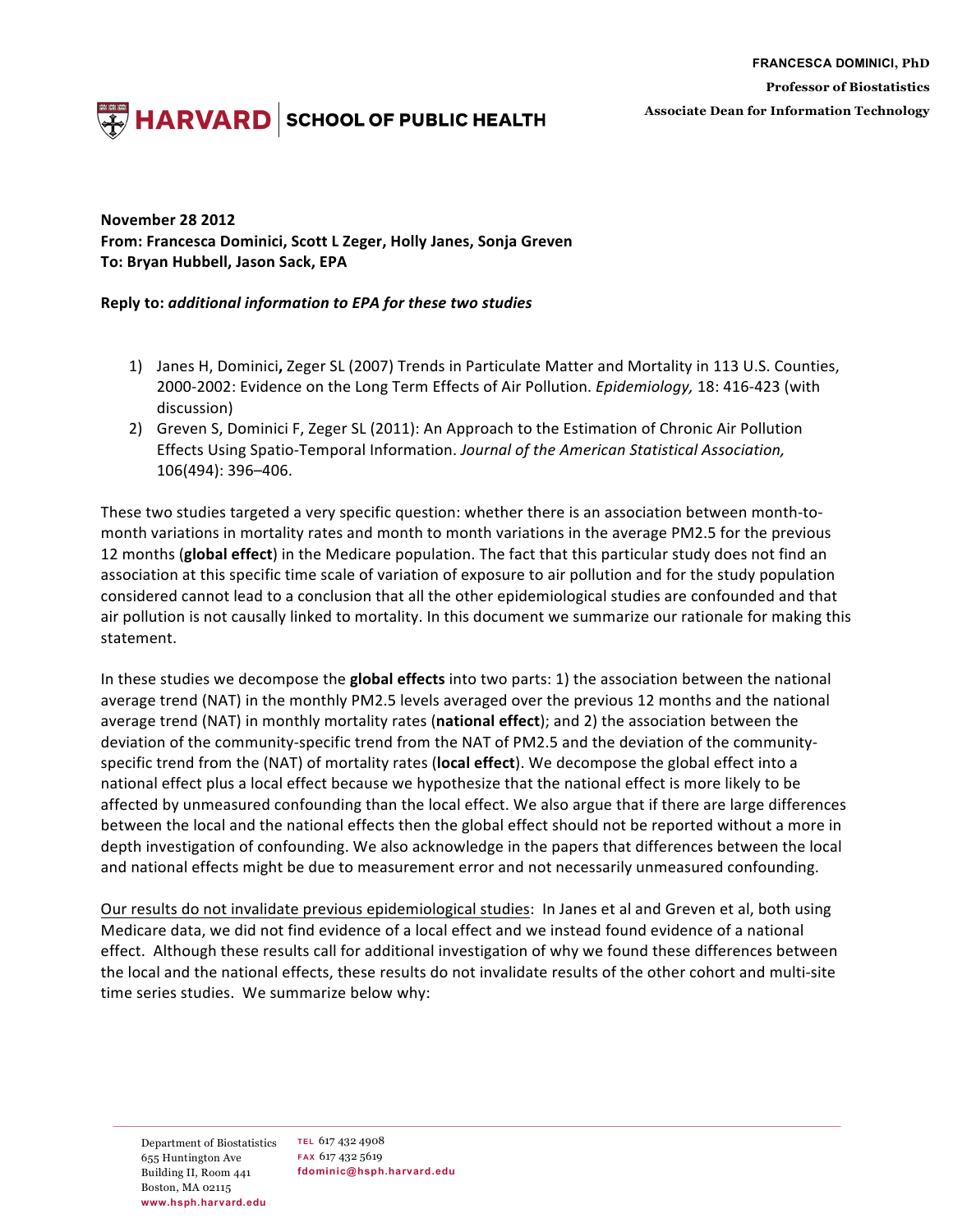**FRANCESCA DOMINICI, PhD Professor of Biostatistics Associate Dean for Information Technology**

## **HARVARD** SCHOOL OF PUBLIC HEALTH

## **November 28 2012** From: Francesca Dominici, Scott L Zeger, Holly Janes, Sonja Greven **To: Bryan Hubbell, Jason Sack, EPA**

## **Reply to:** *additional information to EPA for these two studies*

- 1) Janes H, Dominici, Zeger SL (2007) Trends in Particulate Matter and Mortality in 113 U.S. Counties, 2000-2002: Evidence on the Long Term Effects of Air Pollution. *Epidemiology*, 18: 416-423 (with discussion)
- 2) Greven S, Dominici F, Zeger SL (2011): An Approach to the Estimation of Chronic Air Pollution Effects Using Spatio-Temporal Information. *Journal of the American Statistical Association*, 106(494): 396–406.

These two studies targeted a very specific question: whether there is an association between month-tomonth variations in mortality rates and month to month variations in the average PM2.5 for the previous 12 months (global effect) in the Medicare population. The fact that this particular study does not find an association at this specific time scale of variation of exposure to air pollution and for the study population considered cannot lead to a conclusion that all the other epidemiological studies are confounded and that air pollution is not causally linked to mortality. In this document we summarize our rationale for making this statement.

In these studies we decompose the **global effects** into two parts: 1) the association between the national average trend (NAT) in the monthly PM2.5 levels averaged over the previous 12 months and the national average trend (NAT) in monthly mortality rates (**national effect**); and 2) the association between the deviation of the community-specific trend from the NAT of PM2.5 and the deviation of the communityspecific trend from the (NAT) of mortality rates (local effect). We decompose the global effect into a national effect plus a local effect because we hypothesize that the national effect is more likely to be affected by unmeasured confounding than the local effect. We also argue that if there are large differences between the local and the national effects then the global effect should not be reported without a more in depth investigation of confounding. We also acknowledge in the papers that differences between the local and national effects might be due to measurement error and not necessarily unmeasured confounding.

Our results do not invalidate previous epidemiological studies: In Janes et al and Greven et al, both using Medicare data, we did not find evidence of a local effect and we instead found evidence of a national effect. Although these results call for additional investigation of why we found these differences between the local and the national effects, these results do not invalidate results of the other cohort and multi-site time series studies. We summarize below why:

Department of Biostatistics **TEL** 617 432 4908 655 Huntington Ave Building II, Room 441 Boston, MA 02115 **www.hsph.harvard.edu**

**FAX** 617 432 5619 **fdominic@hsph.harvard.edu**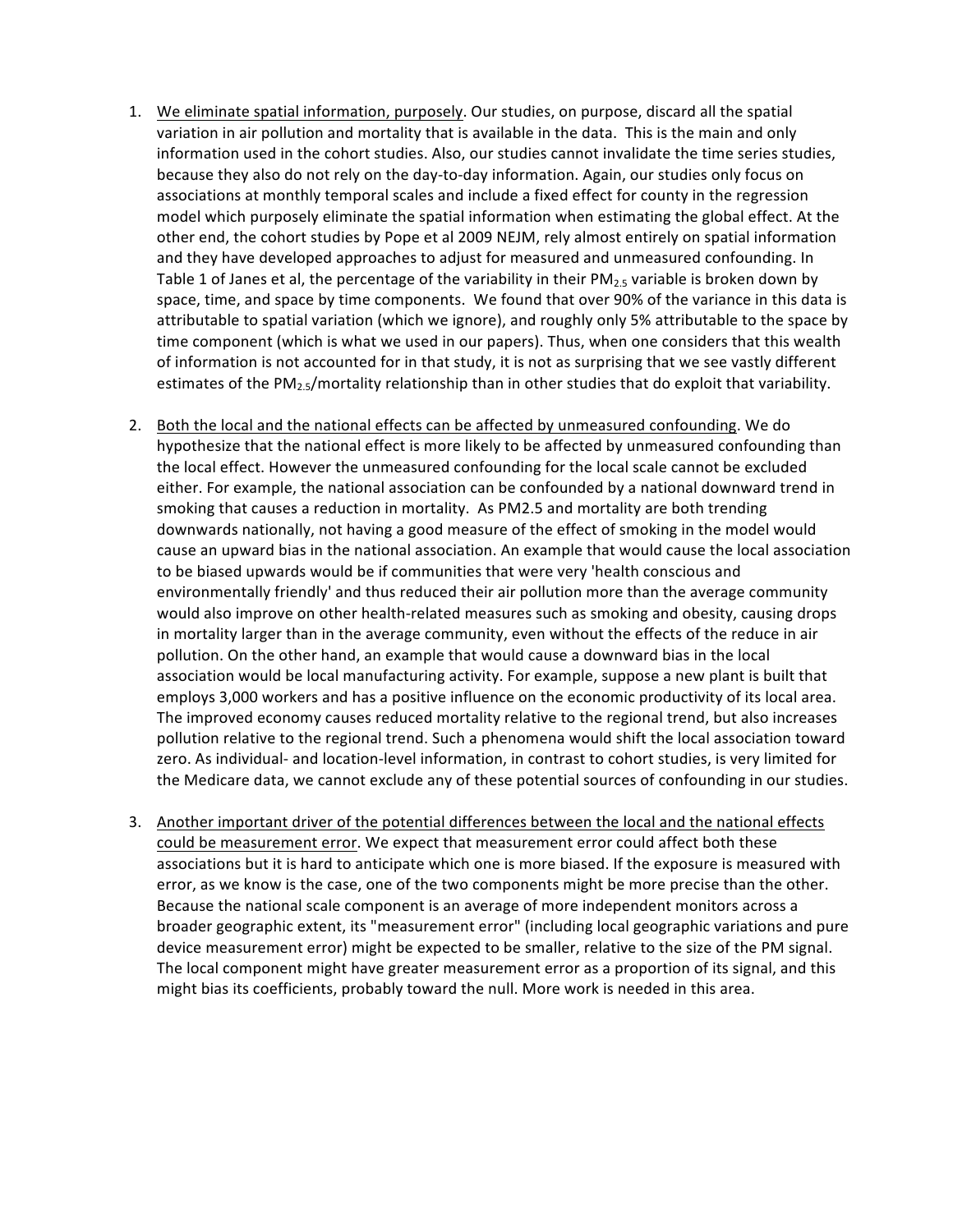- 1. We eliminate spatial information, purposely. Our studies, on purpose, discard all the spatial variation in air pollution and mortality that is available in the data. This is the main and only information used in the cohort studies. Also, our studies cannot invalidate the time series studies, because they also do not rely on the day-to-day information. Again, our studies only focus on associations at monthly temporal scales and include a fixed effect for county in the regression model which purposely eliminate the spatial information when estimating the global effect. At the other end, the cohort studies by Pope et al 2009 NEJM, rely almost entirely on spatial information and they have developed approaches to adjust for measured and unmeasured confounding. In Table 1 of Janes et al, the percentage of the variability in their  $PM_2$ , variable is broken down by space, time, and space by time components. We found that over 90% of the variance in this data is attributable to spatial variation (which we ignore), and roughly only 5% attributable to the space by time component (which is what we used in our papers). Thus, when one considers that this wealth of information is not accounted for in that study, it is not as surprising that we see vastly different estimates of the  $PM_{2.5}/$ mortality relationship than in other studies that do exploit that variability.
- 2. Both the local and the national effects can be affected by unmeasured confounding. We do hypothesize that the national effect is more likely to be affected by unmeasured confounding than the local effect. However the unmeasured confounding for the local scale cannot be excluded either. For example, the national association can be confounded by a national downward trend in smoking that causes a reduction in mortality. As PM2.5 and mortality are both trending downwards nationally, not having a good measure of the effect of smoking in the model would cause an upward bias in the national association. An example that would cause the local association to be biased upwards would be if communities that were very 'health conscious and environmentally friendly' and thus reduced their air pollution more than the average community would also improve on other health-related measures such as smoking and obesity, causing drops in mortality larger than in the average community, even without the effects of the reduce in air pollution. On the other hand, an example that would cause a downward bias in the local association would be local manufacturing activity. For example, suppose a new plant is built that employs 3,000 workers and has a positive influence on the economic productivity of its local area. The improved economy causes reduced mortality relative to the regional trend, but also increases pollution relative to the regional trend. Such a phenomena would shift the local association toward zero. As individual- and location-level information, in contrast to cohort studies, is very limited for the Medicare data, we cannot exclude any of these potential sources of confounding in our studies.
- 3. Another important driver of the potential differences between the local and the national effects could be measurement error. We expect that measurement error could affect both these associations but it is hard to anticipate which one is more biased. If the exposure is measured with error, as we know is the case, one of the two components might be more precise than the other. Because the national scale component is an average of more independent monitors across a broader geographic extent, its "measurement error" (including local geographic variations and pure device measurement error) might be expected to be smaller, relative to the size of the PM signal. The local component might have greater measurement error as a proportion of its signal, and this might bias its coefficients, probably toward the null. More work is needed in this area.